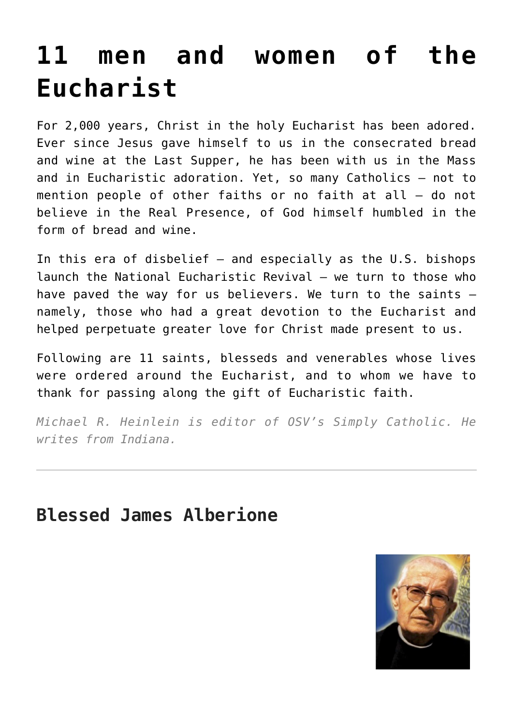# **[11 men and women of the](https://www.osvnews.com/2022/06/13/11-men-and-women-of-the-eucharist/) [Eucharist](https://www.osvnews.com/2022/06/13/11-men-and-women-of-the-eucharist/)**

For 2,000 years, Christ in the holy Eucharist has been adored. Ever since Jesus gave himself to us in the consecrated bread and wine at the Last Supper, he has been with us in the Mass and in Eucharistic adoration. Yet, so many Catholics — not to mention people of other faiths or no faith at all — do not believe in the Real Presence, of God himself humbled in the form of bread and wine.

In this era of disbelief — and especially as the U.S. bishops launch the National Eucharistic Revival — we turn to those who have paved the way for us believers. We turn to the saints namely, those who had a great devotion to the Eucharist and helped perpetuate greater love for Christ made present to us.

Following are 11 saints, blesseds and venerables whose lives were ordered around the Eucharist, and to whom we have to thank for passing along the gift of Eucharistic faith.

*Michael R. Heinlein is editor of OSV's Simply Catholic. He writes from Indiana.*

#### **Blessed James Alberione**

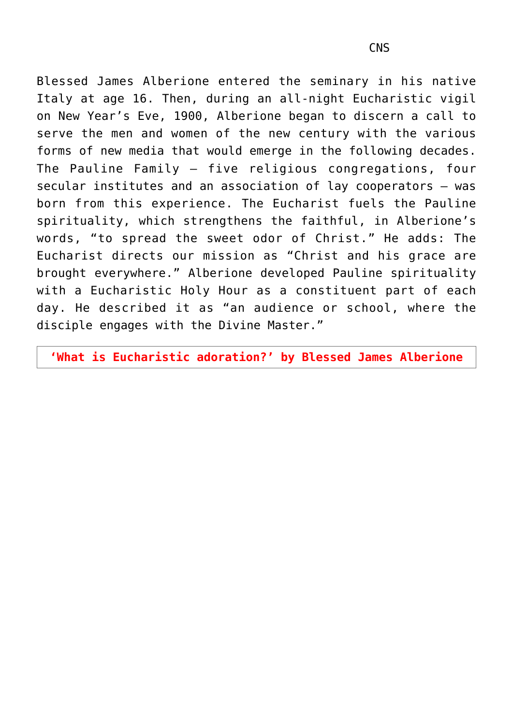Blessed James Alberione entered the seminary in his native Italy at age 16. Then, during an all-night Eucharistic vigil on New Year's Eve, 1900, Alberione began to discern a call to serve the men and women of the new century with the various forms of new media that would emerge in the following decades. The Pauline Family — five religious congregations, four secular institutes and an association of lay cooperators — was born from this experience. The Eucharist fuels the Pauline spirituality, which strengthens the faithful, in Alberione's words, "to spread the sweet odor of Christ." He adds: The Eucharist directs our mission as "Christ and his grace are brought everywhere." Alberione developed Pauline spirituality with a Eucharistic Holy Hour as a constituent part of each day. He described it as "an audience or school, where the disciple engages with the Divine Master."

**'What is Eucharistic adoration?' by Blessed James Alberione**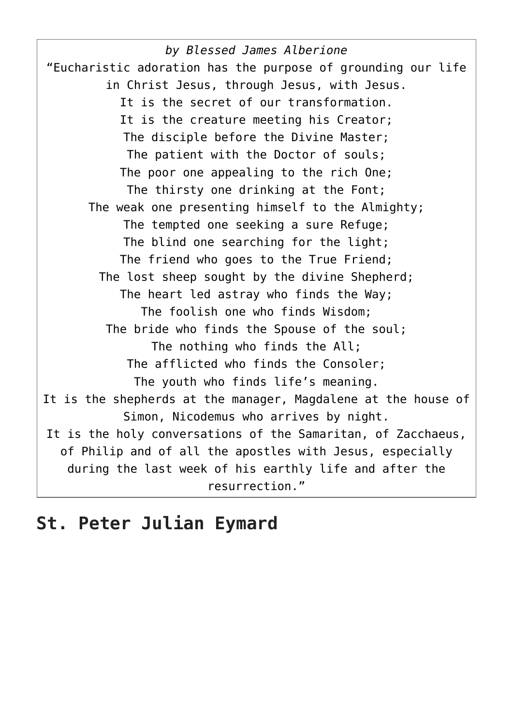*by Blessed James Alberione* "Eucharistic adoration has the purpose of grounding our life in Christ Jesus, through Jesus, with Jesus. It is the secret of our transformation. It is the creature meeting his Creator; The disciple before the Divine Master; The patient with the Doctor of souls; The poor one appealing to the rich One; The thirsty one drinking at the Font; The weak one presenting himself to the Almighty; The tempted one seeking a sure Refuge; The blind one searching for the light; The friend who goes to the True Friend; The lost sheep sought by the divine Shepherd; The heart led astray who finds the Way; The foolish one who finds Wisdom; The bride who finds the Spouse of the soul; The nothing who finds the All; The afflicted who finds the Consoler; The youth who finds life's meaning. It is the shepherds at the manager, Magdalene at the house of Simon, Nicodemus who arrives by night. It is the holy conversations of the Samaritan, of Zacchaeus, of Philip and of all the apostles with Jesus, especially during the last week of his earthly life and after the resurrection."

#### **St. Peter Julian Eymard**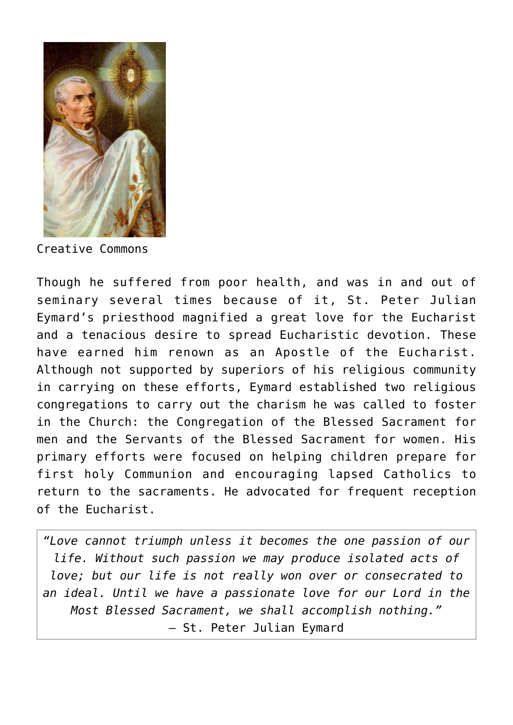

Creative Commons

Though he suffered from poor health, and was in and out of seminary several times because of it, St. Peter Julian Eymard's priesthood magnified a great love for the Eucharist and a tenacious desire to spread Eucharistic devotion. These have earned him renown as an Apostle of the Eucharist. Although not supported by superiors of his religious community in carrying on these efforts, Eymard established two religious congregations to carry out the charism he was called to foster in the Church: the Congregation of the Blessed Sacrament for men and the Servants of the Blessed Sacrament for women. His primary efforts were focused on helping children prepare for first holy Communion and encouraging lapsed Catholics to return to the sacraments. He advocated for frequent reception of the Eucharist.

*"Love cannot triumph unless it becomes the one passion of our life. Without such passion we may produce isolated acts of love; but our life is not really won over or consecrated to an ideal. Until we have a passionate love for our Lord in the Most Blessed Sacrament, we shall accomplish nothing."* — St. Peter Julian Eymard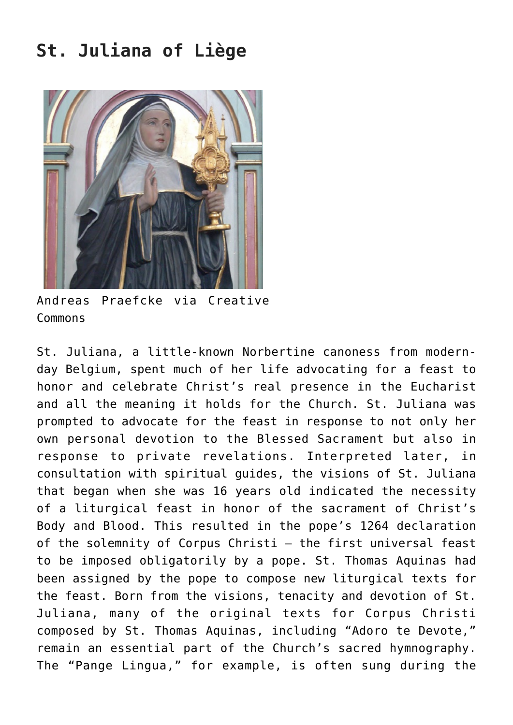# **St. Juliana of Liège**



Andreas Praefcke via Creative Commons

St. Juliana, a little-known Norbertine canoness from modernday Belgium, spent much of her life advocating for a feast to honor and celebrate Christ's real presence in the Eucharist and all the meaning it holds for the Church. St. Juliana was prompted to advocate for the feast in response to not only her own personal devotion to the Blessed Sacrament but also in response to private revelations. Interpreted later, in consultation with spiritual guides, the visions of St. Juliana that began when she was 16 years old indicated the necessity of a liturgical feast in honor of the sacrament of Christ's Body and Blood. This resulted in the pope's 1264 declaration of the solemnity of Corpus Christi — the first universal feast to be imposed obligatorily by a pope. St. Thomas Aquinas had been assigned by the pope to compose new liturgical texts for the feast. Born from the visions, tenacity and devotion of St. Juliana, many of the original texts for Corpus Christi composed by St. Thomas Aquinas, including "Adoro te Devote," remain an essential part of the Church's sacred hymnography. The "Pange Lingua," for example, is often sung during the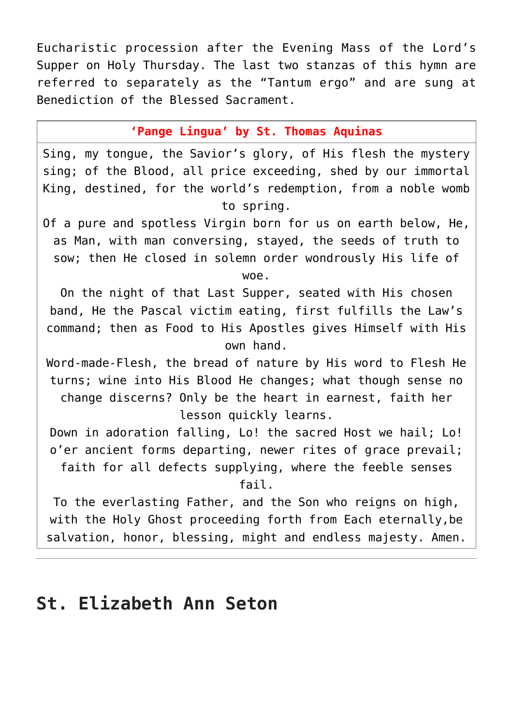Eucharistic procession after the Evening Mass of the Lord's Supper on Holy Thursday. The last two stanzas of this hymn are referred to separately as the "Tantum ergo" and are sung at Benediction of the Blessed Sacrament.

**'Pange Lingua' by St. Thomas Aquinas**

Sing, my tongue, the Savior's glory, of His flesh the mystery sing; of the Blood, all price exceeding, shed by our immortal King, destined, for the world's redemption, from a noble womb to spring.

Of a pure and spotless Virgin born for us on earth below, He, as Man, with man conversing, stayed, the seeds of truth to sow; then He closed in solemn order wondrously His life of woe.

On the night of that Last Supper, seated with His chosen band, He the Pascal victim eating, first fulfills the Law's command; then as Food to His Apostles gives Himself with His own hand.

Word-made-Flesh, the bread of nature by His word to Flesh He turns; wine into His Blood He changes; what though sense no change discerns? Only be the heart in earnest, faith her lesson quickly learns.

Down in adoration falling, Lo! the sacred Host we hail; Lo! o'er ancient forms departing, newer rites of grace prevail; faith for all defects supplying, where the feeble senses fail.

To the everlasting Father, and the Son who reigns on high, with the Holy Ghost proceeding forth from Each eternally,be salvation, honor, blessing, might and endless majesty. Amen.

# **St. Elizabeth Ann Seton**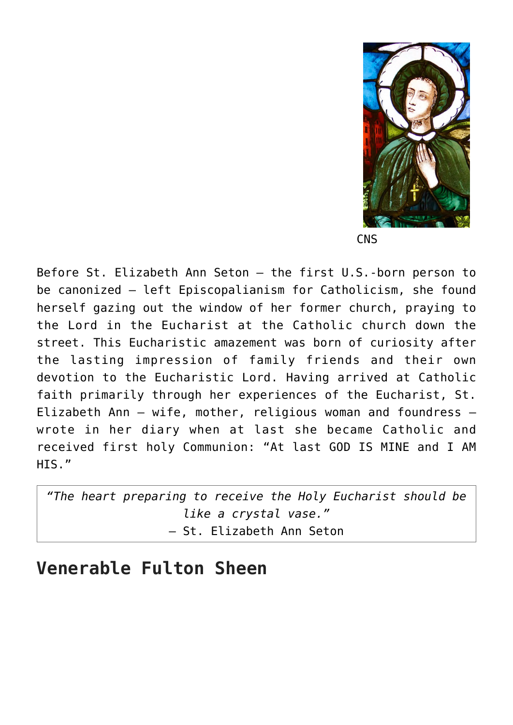

**CNS** 

Before St. Elizabeth Ann Seton — the first U.S.-born person to be canonized — left Episcopalianism for Catholicism, she found herself gazing out the window of her former church, praying to the Lord in the Eucharist at the Catholic church down the street. This Eucharistic amazement was born of curiosity after the lasting impression of family friends and their own devotion to the Eucharistic Lord. Having arrived at Catholic faith primarily through her experiences of the Eucharist, St. Elizabeth Ann — wife, mother, religious woman and foundress wrote in her diary when at last she became Catholic and received first holy Communion: "At last GOD IS MINE and I AM HIS."

*"The heart preparing to receive the Holy Eucharist should be like a crystal vase."* — St. Elizabeth Ann Seton

#### **Venerable Fulton Sheen**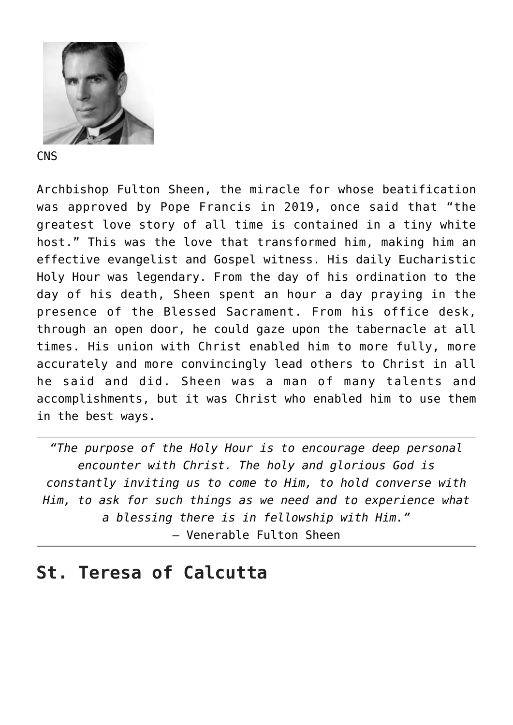

**CNS** 

Archbishop Fulton Sheen, the miracle for whose beatification was approved by Pope Francis in 2019, once said that "the greatest love story of all time is contained in a tiny white host." This was the love that transformed him, making him an effective evangelist and Gospel witness. His daily Eucharistic Holy Hour was legendary. From the day of his ordination to the day of his death, Sheen spent an hour a day praying in the presence of the Blessed Sacrament. From his office desk, through an open door, he could gaze upon the tabernacle at all times. His union with Christ enabled him to more fully, more accurately and more convincingly lead others to Christ in all he said and did. Sheen was a man of many talents and accomplishments, but it was Christ who enabled him to use them in the best ways.

*"The purpose of the Holy Hour is to encourage deep personal encounter with Christ. The holy and glorious God is constantly inviting us to come to Him, to hold converse with Him, to ask for such things as we need and to experience what a blessing there is in fellowship with Him."* — Venerable Fulton Sheen

# **St. Teresa of Calcutta**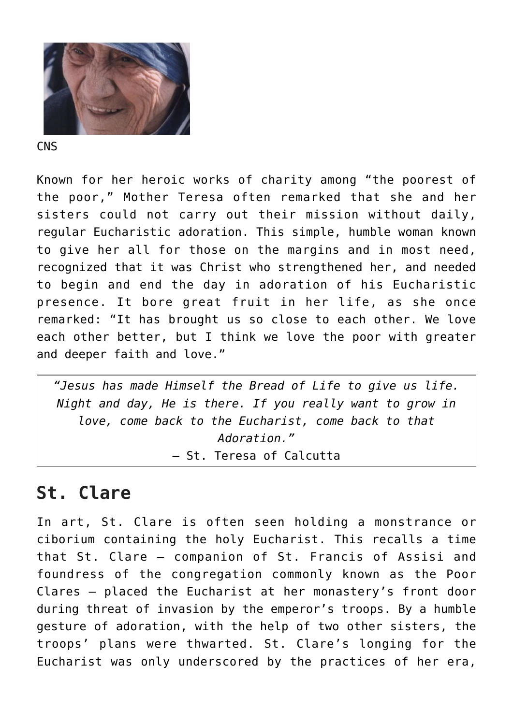

**CNS** 

Known for her heroic works of charity among "the poorest of the poor," Mother Teresa often remarked that she and her sisters could not carry out their mission without daily, regular Eucharistic adoration. This simple, humble woman known to give her all for those on the margins and in most need, recognized that it was Christ who strengthened her, and needed to begin and end the day in adoration of his Eucharistic presence. It bore great fruit in her life, as she once remarked: "It has brought us so close to each other. We love each other better, but I think we love the poor with greater and deeper faith and love."

*"Jesus has made Himself the Bread of Life to give us life. Night and day, He is there. If you really want to grow in love, come back to the Eucharist, come back to that Adoration."* — St. Teresa of Calcutta

# **St. Clare**

In art, St. Clare is often seen holding a monstrance or ciborium containing the holy Eucharist. This recalls a time that St. Clare — companion of St. Francis of Assisi and foundress of the congregation commonly known as the Poor Clares — placed the Eucharist at her monastery's front door during threat of invasion by the emperor's troops. By a humble gesture of adoration, with the help of two other sisters, the troops' plans were thwarted. St. Clare's longing for the Eucharist was only underscored by the practices of her era,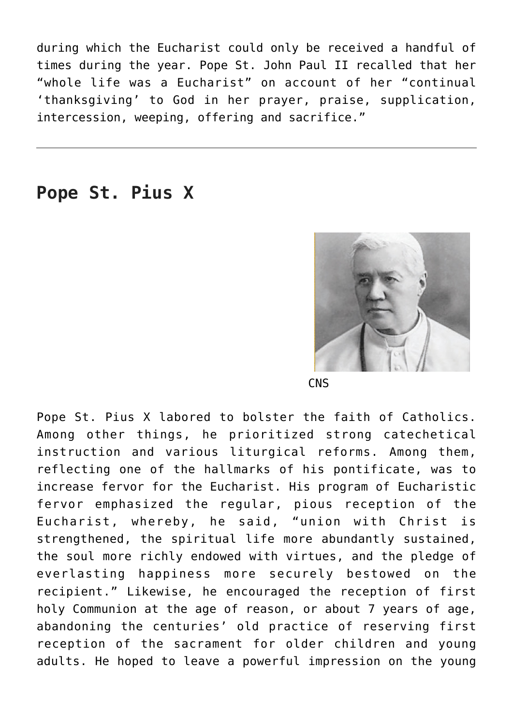during which the Eucharist could only be received a handful of times during the year. Pope St. John Paul II recalled that her "whole life was a Eucharist" on account of her "continual 'thanksgiving' to God in her prayer, praise, supplication, intercession, weeping, offering and sacrifice."

#### **Pope St. Pius X**



**CNS** 

Pope St. Pius X labored to bolster the faith of Catholics. Among other things, he prioritized strong catechetical instruction and various liturgical reforms. Among them, reflecting one of the hallmarks of his pontificate, was to increase fervor for the Eucharist. His program of Eucharistic fervor emphasized the regular, pious reception of the Eucharist, whereby, he said, "union with Christ is strengthened, the spiritual life more abundantly sustained, the soul more richly endowed with virtues, and the pledge of everlasting happiness more securely bestowed on the recipient." Likewise, he encouraged the reception of first holy Communion at the age of reason, or about 7 years of age, abandoning the centuries' old practice of reserving first reception of the sacrament for older children and young adults. He hoped to leave a powerful impression on the young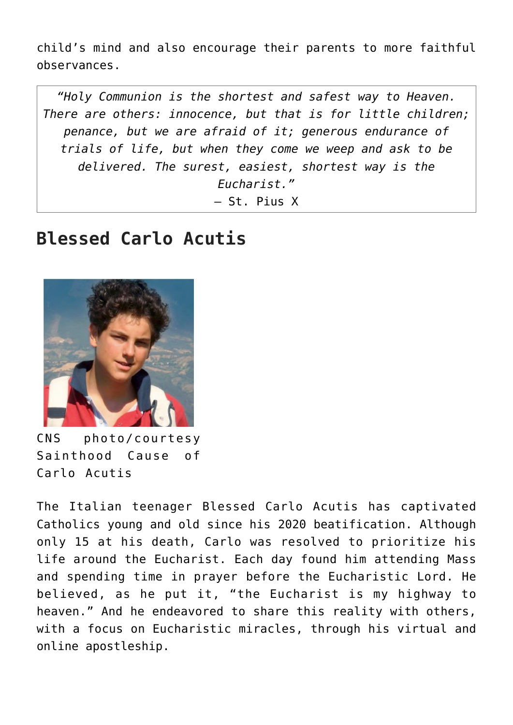child's mind and also encourage their parents to more faithful observances.

*"Holy Communion is the shortest and safest way to Heaven. There are others: innocence, but that is for little children; penance, but we are afraid of it; generous endurance of trials of life, but when they come we weep and ask to be delivered. The surest, easiest, shortest way is the Eucharist."* — St. Pius X

# **Blessed Carlo Acutis**



CNS photo/courtesy Sainthood Cause of Carlo Acutis

The Italian teenager Blessed Carlo Acutis has captivated Catholics young and old since his 2020 beatification. Although only 15 at his death, Carlo was resolved to prioritize his life around the Eucharist. Each day found him attending Mass and spending time in prayer before the Eucharistic Lord. He believed, as he put it, "the Eucharist is my highway to heaven." And he endeavored to share this reality with others, with a focus on Eucharistic miracles, through his virtual and online apostleship.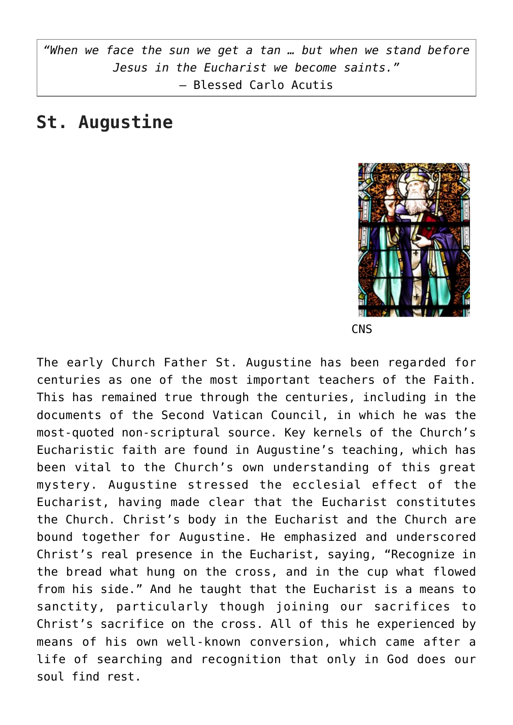*"When we face the sun we get a tan … but when we stand before Jesus in the Eucharist we become saints."* — Blessed Carlo Acutis

#### **St. Augustine**



**CNS** 

The early Church Father St. Augustine has been regarded for centuries as one of the most important teachers of the Faith. This has remained true through the centuries, including in the documents of the Second Vatican Council, in which he was the most-quoted non-scriptural source. Key kernels of the Church's Eucharistic faith are found in Augustine's teaching, which has been vital to the Church's own understanding of this great mystery. Augustine stressed the ecclesial effect of the Eucharist, having made clear that the Eucharist constitutes the Church. Christ's body in the Eucharist and the Church are bound together for Augustine. He emphasized and underscored Christ's real presence in the Eucharist, saying, "Recognize in the bread what hung on the cross, and in the cup what flowed from his side." And he taught that the Eucharist is a means to sanctity, particularly though joining our sacrifices to Christ's sacrifice on the cross. All of this he experienced by means of his own well-known conversion, which came after a life of searching and recognition that only in God does our soul find rest.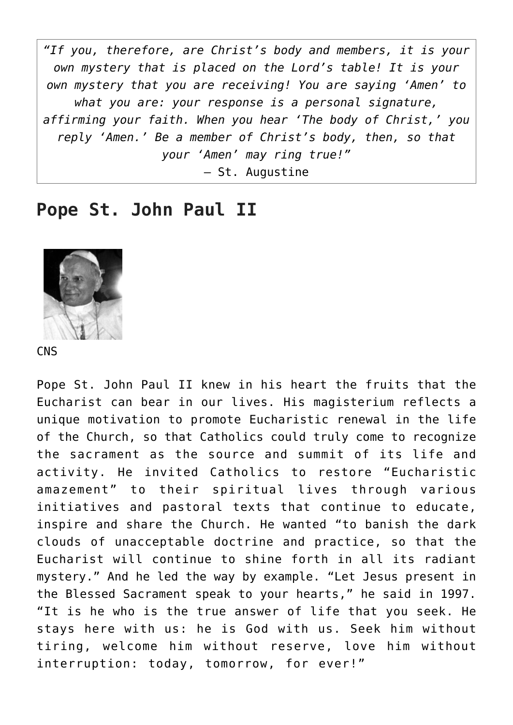*"If you, therefore, are Christ's body and members, it is your own mystery that is placed on the Lord's table! It is your own mystery that you are receiving! You are saying 'Amen' to what you are: your response is a personal signature, affirming your faith. When you hear 'The body of Christ,' you reply 'Amen.' Be a member of Christ's body, then, so that your 'Amen' may ring true!"* — St. Augustine

#### **Pope St. John Paul II**



**CNS** 

Pope St. John Paul II knew in his heart the fruits that the Eucharist can bear in our lives. His magisterium reflects a unique motivation to promote Eucharistic renewal in the life of the Church, so that Catholics could truly come to recognize the sacrament as the source and summit of its life and activity. He invited Catholics to restore "Eucharistic amazement" to their spiritual lives through various initiatives and pastoral texts that continue to educate, inspire and share the Church. He wanted "to banish the dark clouds of unacceptable doctrine and practice, so that the Eucharist will continue to shine forth in all its radiant mystery." And he led the way by example. "Let Jesus present in the Blessed Sacrament speak to your hearts," he said in 1997. "It is he who is the true answer of life that you seek. He stays here with us: he is God with us. Seek him without tiring, welcome him without reserve, love him without interruption: today, tomorrow, for ever!"